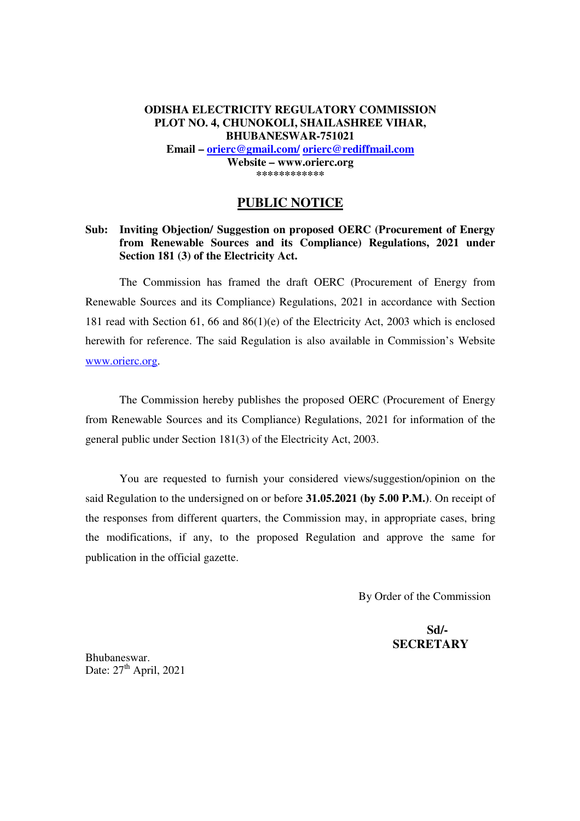#### **ODISHA ELECTRICITY REGULATORY COMMISSION PLOT NO. 4, CHUNOKOLI, SHAILASHREE VIHAR, BHUBANESWAR-751021 Email – orierc@gmail.com/ orierc@rediffmail.com Website – www.orierc.org \*\*\*\*\*\*\*\*\*\*\*\***

#### **PUBLIC NOTICE**

#### **Sub: Inviting Objection/ Suggestion on proposed OERC (Procurement of Energy from Renewable Sources and its Compliance) Regulations, 2021 under Section 181 (3) of the Electricity Act.**

The Commission has framed the draft OERC (Procurement of Energy from Renewable Sources and its Compliance) Regulations, 2021 in accordance with Section 181 read with Section 61, 66 and 86(1)(e) of the Electricity Act, 2003 which is enclosed herewith for reference. The said Regulation is also available in Commission's Website www.orierc.org.

 The Commission hereby publishes the proposed OERC (Procurement of Energy from Renewable Sources and its Compliance) Regulations, 2021 for information of the general public under Section 181(3) of the Electricity Act, 2003.

 You are requested to furnish your considered views/suggestion/opinion on the said Regulation to the undersigned on or before **31.05.2021 (by 5.00 P.M.)**. On receipt of the responses from different quarters, the Commission may, in appropriate cases, bring the modifications, if any, to the proposed Regulation and approve the same for publication in the official gazette.

By Order of the Commission

 **Sd/- SECRETARY** 

Bhubaneswar. Date:  $27<sup>th</sup>$  April, 2021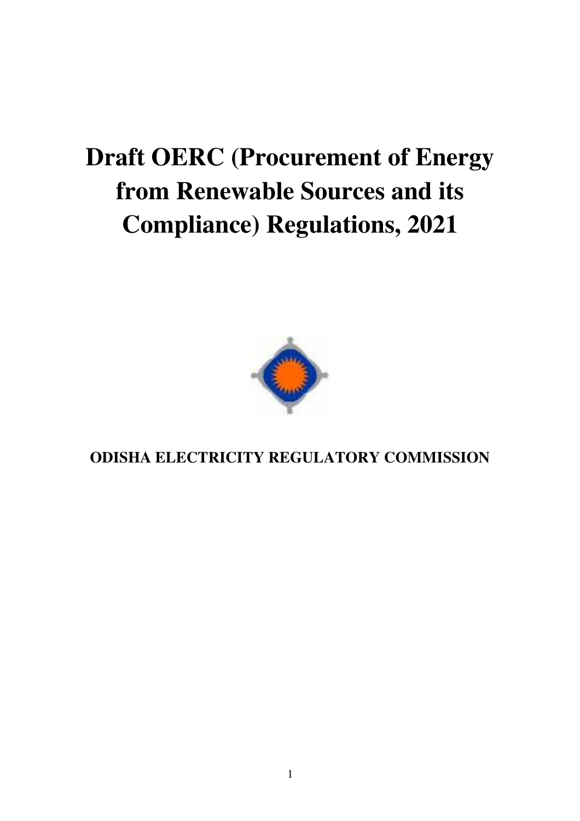# **Draft OERC (Procurement of Energy from Renewable Sources and its Compliance) Regulations, 2021**



**ODISHA ELECTRICITY REGULATORY COMMISSION**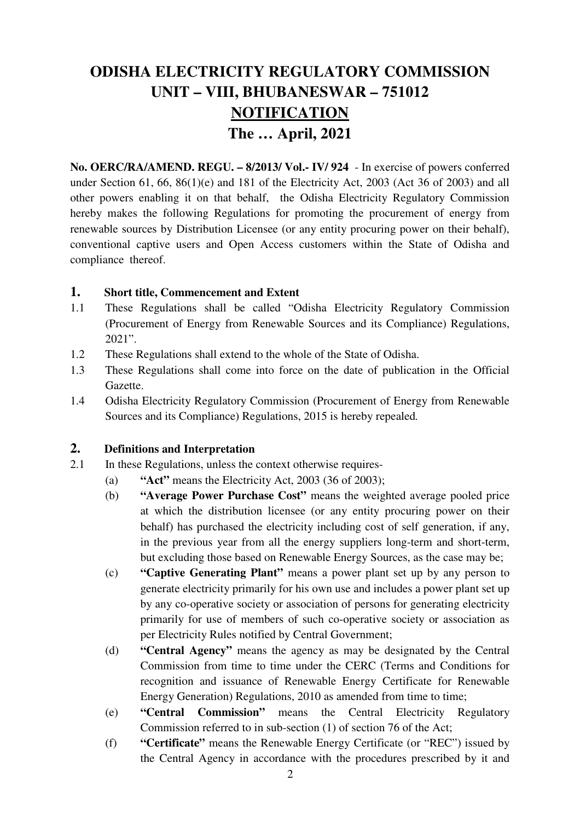# **ODISHA ELECTRICITY REGULATORY COMMISSION UNIT – VIII, BHUBANESWAR – 751012 NOTIFICATION The … April, 2021**

**No. OERC/RA/AMEND. REGU. – 8/2013/ Vol.- IV/ 924** - In exercise of powers conferred under Section 61, 66,  $86(1)(e)$  and 181 of the Electricity Act, 2003 (Act 36 of 2003) and all other powers enabling it on that behalf, the Odisha Electricity Regulatory Commission hereby makes the following Regulations for promoting the procurement of energy from renewable sources by Distribution Licensee (or any entity procuring power on their behalf), conventional captive users and Open Access customers within the State of Odisha and compliance thereof.

#### **1. Short title, Commencement and Extent**

- 1.1 These Regulations shall be called "Odisha Electricity Regulatory Commission (Procurement of Energy from Renewable Sources and its Compliance) Regulations, 2021".
- 1.2 These Regulations shall extend to the whole of the State of Odisha.
- 1.3 These Regulations shall come into force on the date of publication in the Official Gazette.
- 1.4 Odisha Electricity Regulatory Commission (Procurement of Energy from Renewable Sources and its Compliance) Regulations, 2015 is hereby repealed*.*

#### **2. Definitions and Interpretation**

- 2.1 In these Regulations, unless the context otherwise requires-
	- (a) **"Act"** means the Electricity Act, 2003 (36 of 2003);
	- (b) **"Average Power Purchase Cost"** means the weighted average pooled price at which the distribution licensee (or any entity procuring power on their behalf) has purchased the electricity including cost of self generation, if any, in the previous year from all the energy suppliers long-term and short-term, but excluding those based on Renewable Energy Sources, as the case may be;
	- (c) **"Captive Generating Plant"** means a power plant set up by any person to generate electricity primarily for his own use and includes a power plant set up by any co-operative society or association of persons for generating electricity primarily for use of members of such co-operative society or association as per Electricity Rules notified by Central Government;
	- (d) **"Central Agency"** means the agency as may be designated by the Central Commission from time to time under the CERC (Terms and Conditions for recognition and issuance of Renewable Energy Certificate for Renewable Energy Generation) Regulations, 2010 as amended from time to time;
	- (e) **"Central Commission"** means the Central Electricity Regulatory Commission referred to in sub-section (1) of section 76 of the Act;
	- (f) **"Certificate"** means the Renewable Energy Certificate (or "REC") issued by the Central Agency in accordance with the procedures prescribed by it and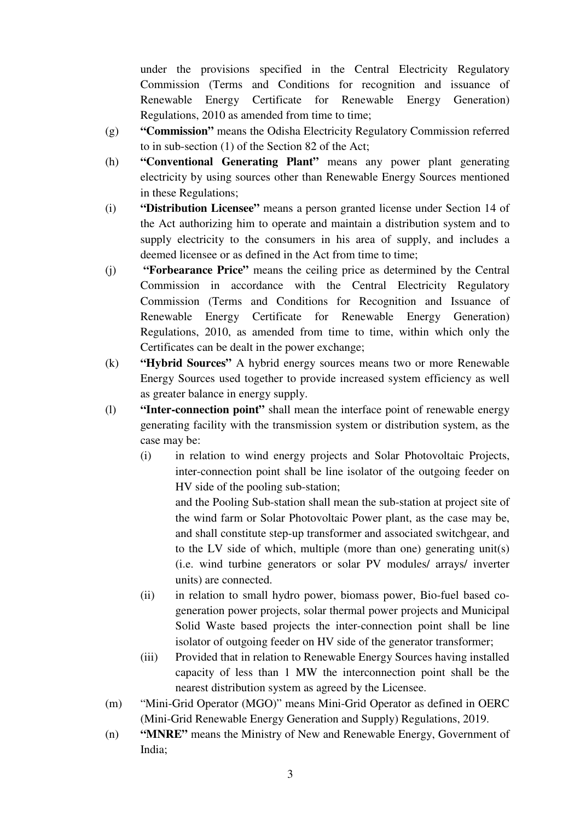under the provisions specified in the Central Electricity Regulatory Commission (Terms and Conditions for recognition and issuance of Renewable Energy Certificate for Renewable Energy Generation) Regulations, 2010 as amended from time to time;

- (g) **"Commission"** means the Odisha Electricity Regulatory Commission referred to in sub-section (1) of the Section 82 of the Act;
- (h) **"Conventional Generating Plant"** means any power plant generating electricity by using sources other than Renewable Energy Sources mentioned in these Regulations;
- (i) **"Distribution Licensee"** means a person granted license under Section 14 of the Act authorizing him to operate and maintain a distribution system and to supply electricity to the consumers in his area of supply, and includes a deemed licensee or as defined in the Act from time to time;
- (j) **"Forbearance Price"** means the ceiling price as determined by the Central Commission in accordance with the Central Electricity Regulatory Commission (Terms and Conditions for Recognition and Issuance of Renewable Energy Certificate for Renewable Energy Generation) Regulations, 2010, as amended from time to time, within which only the Certificates can be dealt in the power exchange;
- (k) **"Hybrid Sources"** A hybrid energy sources means two or more Renewable Energy Sources used together to provide increased system efficiency as well as greater balance in energy supply.
- (l) **"Inter-connection point"** shall mean the interface point of renewable energy generating facility with the transmission system or distribution system, as the case may be:
	- (i) in relation to wind energy projects and Solar Photovoltaic Projects, inter-connection point shall be line isolator of the outgoing feeder on HV side of the pooling sub-station;

and the Pooling Sub-station shall mean the sub-station at project site of the wind farm or Solar Photovoltaic Power plant, as the case may be, and shall constitute step-up transformer and associated switchgear, and to the LV side of which, multiple (more than one) generating unit(s) (i.e. wind turbine generators or solar PV modules/ arrays/ inverter units) are connected.

- (ii) in relation to small hydro power, biomass power, Bio-fuel based cogeneration power projects, solar thermal power projects and Municipal Solid Waste based projects the inter-connection point shall be line isolator of outgoing feeder on HV side of the generator transformer;
- (iii) Provided that in relation to Renewable Energy Sources having installed capacity of less than 1 MW the interconnection point shall be the nearest distribution system as agreed by the Licensee.
- (m) "Mini-Grid Operator (MGO)" means Mini-Grid Operator as defined in OERC (Mini-Grid Renewable Energy Generation and Supply) Regulations, 2019.
- (n) **"MNRE"** means the Ministry of New and Renewable Energy, Government of India;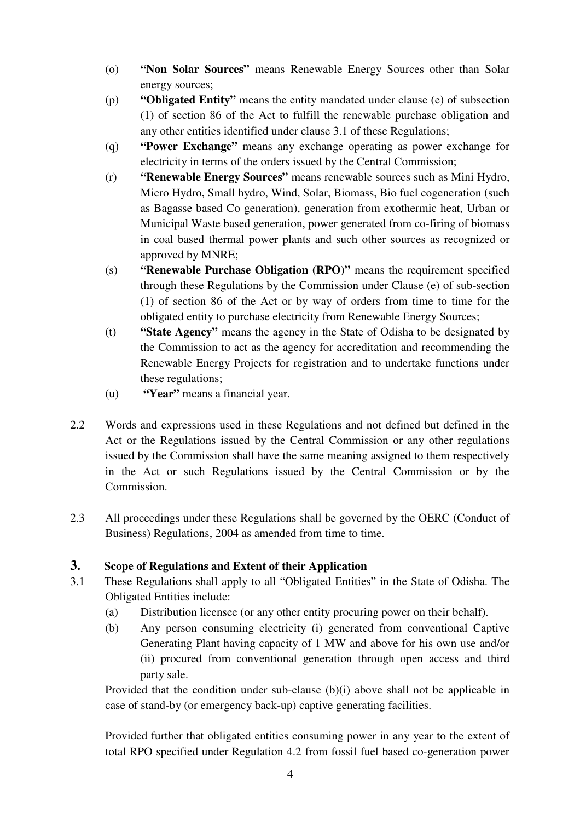- (o) **"Non Solar Sources"** means Renewable Energy Sources other than Solar energy sources;
- (p) **"Obligated Entity"** means the entity mandated under clause (e) of subsection (1) of section 86 of the Act to fulfill the renewable purchase obligation and any other entities identified under clause 3.1 of these Regulations;
- (q) **"Power Exchange"** means any exchange operating as power exchange for electricity in terms of the orders issued by the Central Commission;
- (r) **"Renewable Energy Sources"** means renewable sources such as Mini Hydro, Micro Hydro, Small hydro, Wind, Solar, Biomass, Bio fuel cogeneration (such as Bagasse based Co generation), generation from exothermic heat, Urban or Municipal Waste based generation, power generated from co-firing of biomass in coal based thermal power plants and such other sources as recognized or approved by MNRE;
- (s) **"Renewable Purchase Obligation (RPO)"** means the requirement specified through these Regulations by the Commission under Clause (e) of sub-section (1) of section 86 of the Act or by way of orders from time to time for the obligated entity to purchase electricity from Renewable Energy Sources;
- (t) **"State Agency"** means the agency in the State of Odisha to be designated by the Commission to act as the agency for accreditation and recommending the Renewable Energy Projects for registration and to undertake functions under these regulations;
- (u) **"Year"** means a financial year.
- 2.2 Words and expressions used in these Regulations and not defined but defined in the Act or the Regulations issued by the Central Commission or any other regulations issued by the Commission shall have the same meaning assigned to them respectively in the Act or such Regulations issued by the Central Commission or by the Commission.
- 2.3 All proceedings under these Regulations shall be governed by the OERC (Conduct of Business) Regulations, 2004 as amended from time to time.

# **3. Scope of Regulations and Extent of their Application**

- 3.1 These Regulations shall apply to all "Obligated Entities" in the State of Odisha. The Obligated Entities include:
	- (a) Distribution licensee (or any other entity procuring power on their behalf).
	- (b) Any person consuming electricity (i) generated from conventional Captive Generating Plant having capacity of 1 MW and above for his own use and/or (ii) procured from conventional generation through open access and third party sale.

Provided that the condition under sub-clause (b)(i) above shall not be applicable in case of stand-by (or emergency back-up) captive generating facilities.

Provided further that obligated entities consuming power in any year to the extent of total RPO specified under Regulation 4.2 from fossil fuel based co-generation power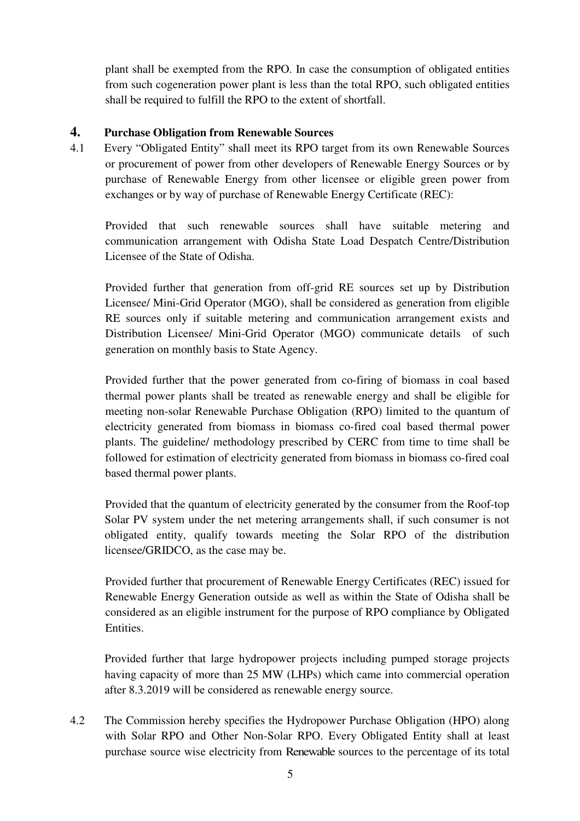plant shall be exempted from the RPO. In case the consumption of obligated entities from such cogeneration power plant is less than the total RPO, such obligated entities shall be required to fulfill the RPO to the extent of shortfall.

#### **4. Purchase Obligation from Renewable Sources**

4.1 Every "Obligated Entity" shall meet its RPO target from its own Renewable Sources or procurement of power from other developers of Renewable Energy Sources or by purchase of Renewable Energy from other licensee or eligible green power from exchanges or by way of purchase of Renewable Energy Certificate (REC):

Provided that such renewable sources shall have suitable metering and communication arrangement with Odisha State Load Despatch Centre/Distribution Licensee of the State of Odisha.

Provided further that generation from off-grid RE sources set up by Distribution Licensee/ Mini-Grid Operator (MGO), shall be considered as generation from eligible RE sources only if suitable metering and communication arrangement exists and Distribution Licensee/ Mini-Grid Operator (MGO) communicate details of such generation on monthly basis to State Agency.

Provided further that the power generated from co-firing of biomass in coal based thermal power plants shall be treated as renewable energy and shall be eligible for meeting non-solar Renewable Purchase Obligation (RPO) limited to the quantum of electricity generated from biomass in biomass co-fired coal based thermal power plants. The guideline/ methodology prescribed by CERC from time to time shall be followed for estimation of electricity generated from biomass in biomass co-fired coal based thermal power plants.

Provided that the quantum of electricity generated by the consumer from the Roof-top Solar PV system under the net metering arrangements shall, if such consumer is not obligated entity, qualify towards meeting the Solar RPO of the distribution licensee/GRIDCO, as the case may be.

Provided further that procurement of Renewable Energy Certificates (REC) issued for Renewable Energy Generation outside as well as within the State of Odisha shall be considered as an eligible instrument for the purpose of RPO compliance by Obligated Entities.

Provided further that large hydropower projects including pumped storage projects having capacity of more than 25 MW (LHPs) which came into commercial operation after 8.3.2019 will be considered as renewable energy source.

4.2 The Commission hereby specifies the Hydropower Purchase Obligation (HPO) along with Solar RPO and Other Non-Solar RPO. Every Obligated Entity shall at least purchase source wise electricity from Renewable sources to the percentage of its total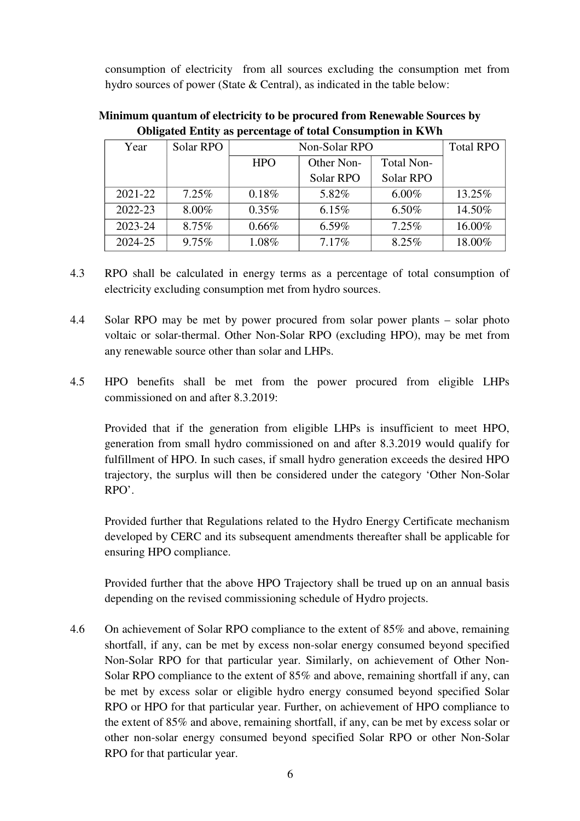consumption of electricity from all sources excluding the consumption met from hydro sources of power (State & Central), as indicated in the table below:

| -           | $\overline{a}$ | -             |            |                   |                  |
|-------------|----------------|---------------|------------|-------------------|------------------|
| Year        | Solar RPO      | Non-Solar RPO |            |                   | <b>Total RPO</b> |
|             |                | <b>HPO</b>    | Other Non- | <b>Total Non-</b> |                  |
|             |                |               | Solar RPO  | Solar RPO         |                  |
| $2021 - 22$ | 7.25%          | 0.18%         | 5.82%      | $6.00\%$          | 13.25%           |
| 2022-23     | 8.00%          | 0.35%         | 6.15%      | $6.50\%$          | 14.50%           |
| 2023-24     | 8.75%          | 0.66%         | $6.59\%$   | 7.25%             | 16.00%           |
| 2024-25     | 9.75%          | 1.08%         | 7.17%      | 8.25%             | 18.00%           |

**Minimum quantum of electricity to be procured from Renewable Sources by Obligated Entity as percentage of total Consumption in KWh** 

- 4.3 RPO shall be calculated in energy terms as a percentage of total consumption of electricity excluding consumption met from hydro sources.
- 4.4 Solar RPO may be met by power procured from solar power plants solar photo voltaic or solar-thermal. Other Non-Solar RPO (excluding HPO), may be met from any renewable source other than solar and LHPs.
- 4.5 HPO benefits shall be met from the power procured from eligible LHPs commissioned on and after 8.3.2019:

 Provided that if the generation from eligible LHPs is insufficient to meet HPO, generation from small hydro commissioned on and after 8.3.2019 would qualify for fulfillment of HPO. In such cases, if small hydro generation exceeds the desired HPO trajectory, the surplus will then be considered under the category 'Other Non-Solar RPO'.

Provided further that Regulations related to the Hydro Energy Certificate mechanism developed by CERC and its subsequent amendments thereafter shall be applicable for ensuring HPO compliance.

Provided further that the above HPO Trajectory shall be trued up on an annual basis depending on the revised commissioning schedule of Hydro projects.

4.6 On achievement of Solar RPO compliance to the extent of 85% and above, remaining shortfall, if any, can be met by excess non-solar energy consumed beyond specified Non-Solar RPO for that particular year. Similarly, on achievement of Other Non-Solar RPO compliance to the extent of 85% and above, remaining shortfall if any, can be met by excess solar or eligible hydro energy consumed beyond specified Solar RPO or HPO for that particular year. Further, on achievement of HPO compliance to the extent of 85% and above, remaining shortfall, if any, can be met by excess solar or other non-solar energy consumed beyond specified Solar RPO or other Non-Solar RPO for that particular year.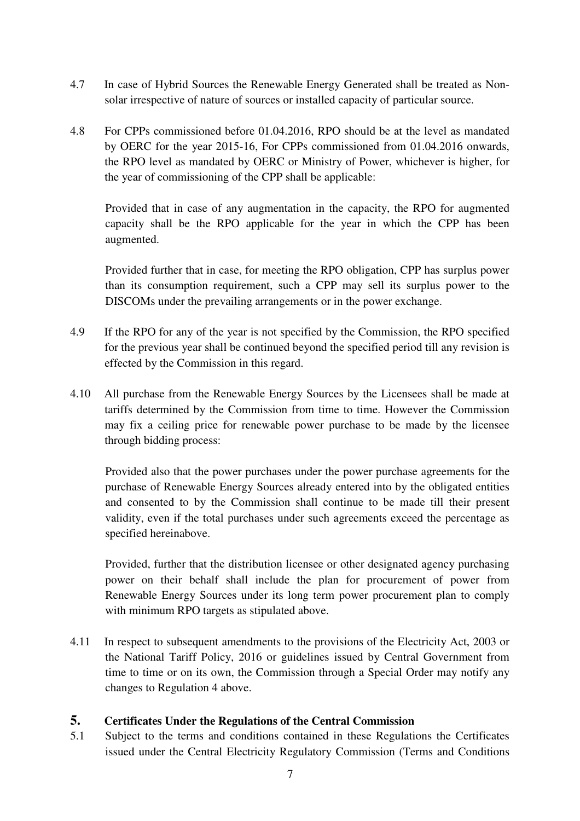- 4.7 In case of Hybrid Sources the Renewable Energy Generated shall be treated as Nonsolar irrespective of nature of sources or installed capacity of particular source.
- 4.8 For CPPs commissioned before 01.04.2016, RPO should be at the level as mandated by OERC for the year 2015-16, For CPPs commissioned from 01.04.2016 onwards, the RPO level as mandated by OERC or Ministry of Power, whichever is higher, for the year of commissioning of the CPP shall be applicable:

Provided that in case of any augmentation in the capacity, the RPO for augmented capacity shall be the RPO applicable for the year in which the CPP has been augmented.

Provided further that in case, for meeting the RPO obligation, CPP has surplus power than its consumption requirement, such a CPP may sell its surplus power to the DISCOMs under the prevailing arrangements or in the power exchange.

- 4.9 If the RPO for any of the year is not specified by the Commission, the RPO specified for the previous year shall be continued beyond the specified period till any revision is effected by the Commission in this regard.
- 4.10 All purchase from the Renewable Energy Sources by the Licensees shall be made at tariffs determined by the Commission from time to time. However the Commission may fix a ceiling price for renewable power purchase to be made by the licensee through bidding process:

Provided also that the power purchases under the power purchase agreements for the purchase of Renewable Energy Sources already entered into by the obligated entities and consented to by the Commission shall continue to be made till their present validity, even if the total purchases under such agreements exceed the percentage as specified hereinabove.

Provided, further that the distribution licensee or other designated agency purchasing power on their behalf shall include the plan for procurement of power from Renewable Energy Sources under its long term power procurement plan to comply with minimum RPO targets as stipulated above.

4.11 In respect to subsequent amendments to the provisions of the Electricity Act, 2003 or the National Tariff Policy, 2016 or guidelines issued by Central Government from time to time or on its own, the Commission through a Special Order may notify any changes to Regulation 4 above.

### **5. Certificates Under the Regulations of the Central Commission**

5.1 Subject to the terms and conditions contained in these Regulations the Certificates issued under the Central Electricity Regulatory Commission (Terms and Conditions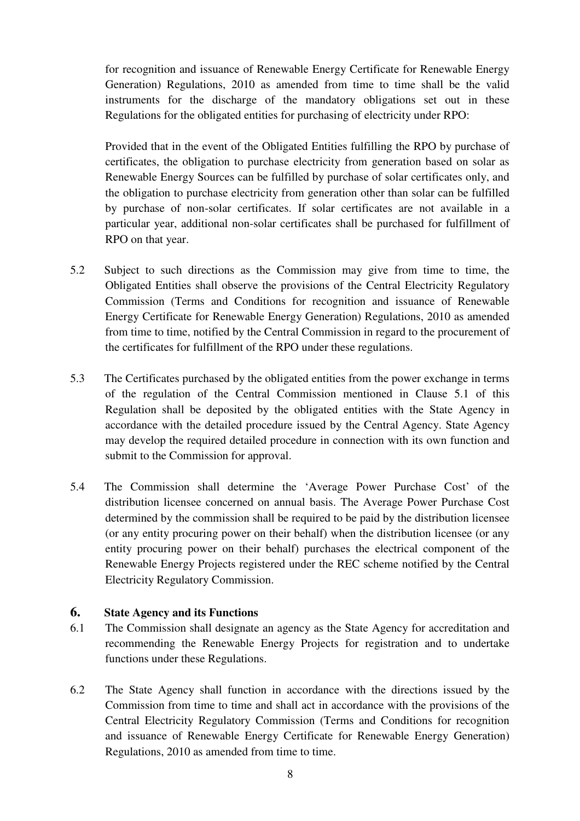for recognition and issuance of Renewable Energy Certificate for Renewable Energy Generation) Regulations, 2010 as amended from time to time shall be the valid instruments for the discharge of the mandatory obligations set out in these Regulations for the obligated entities for purchasing of electricity under RPO:

Provided that in the event of the Obligated Entities fulfilling the RPO by purchase of certificates, the obligation to purchase electricity from generation based on solar as Renewable Energy Sources can be fulfilled by purchase of solar certificates only, and the obligation to purchase electricity from generation other than solar can be fulfilled by purchase of non-solar certificates. If solar certificates are not available in a particular year, additional non-solar certificates shall be purchased for fulfillment of RPO on that year.

- 5.2 Subject to such directions as the Commission may give from time to time, the Obligated Entities shall observe the provisions of the Central Electricity Regulatory Commission (Terms and Conditions for recognition and issuance of Renewable Energy Certificate for Renewable Energy Generation) Regulations, 2010 as amended from time to time, notified by the Central Commission in regard to the procurement of the certificates for fulfillment of the RPO under these regulations.
- 5.3 The Certificates purchased by the obligated entities from the power exchange in terms of the regulation of the Central Commission mentioned in Clause 5.1 of this Regulation shall be deposited by the obligated entities with the State Agency in accordance with the detailed procedure issued by the Central Agency. State Agency may develop the required detailed procedure in connection with its own function and submit to the Commission for approval.
- 5.4 The Commission shall determine the 'Average Power Purchase Cost' of the distribution licensee concerned on annual basis. The Average Power Purchase Cost determined by the commission shall be required to be paid by the distribution licensee (or any entity procuring power on their behalf) when the distribution licensee (or any entity procuring power on their behalf) purchases the electrical component of the Renewable Energy Projects registered under the REC scheme notified by the Central Electricity Regulatory Commission.

#### **6. State Agency and its Functions**

- 6.1 The Commission shall designate an agency as the State Agency for accreditation and recommending the Renewable Energy Projects for registration and to undertake functions under these Regulations.
- 6.2 The State Agency shall function in accordance with the directions issued by the Commission from time to time and shall act in accordance with the provisions of the Central Electricity Regulatory Commission (Terms and Conditions for recognition and issuance of Renewable Energy Certificate for Renewable Energy Generation) Regulations, 2010 as amended from time to time.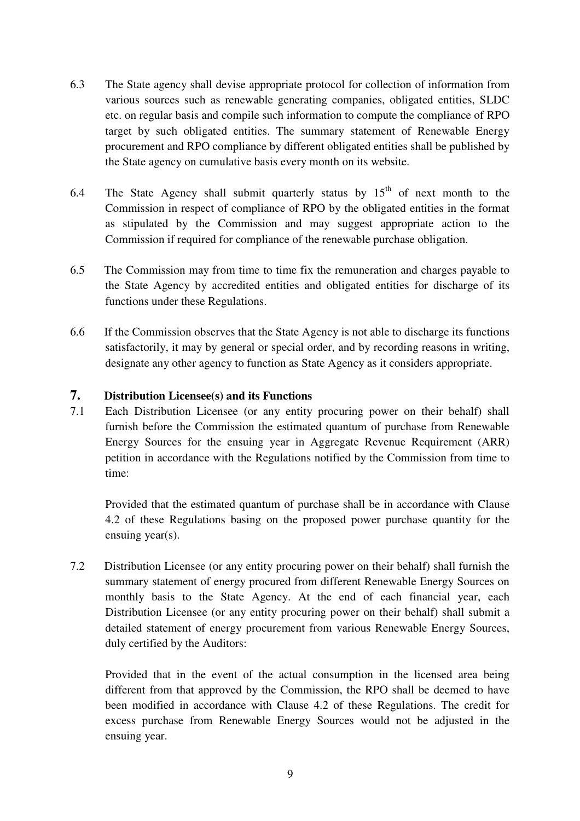- 6.3 The State agency shall devise appropriate protocol for collection of information from various sources such as renewable generating companies, obligated entities, SLDC etc. on regular basis and compile such information to compute the compliance of RPO target by such obligated entities. The summary statement of Renewable Energy procurement and RPO compliance by different obligated entities shall be published by the State agency on cumulative basis every month on its website.
- 6.4 The State Agency shall submit quarterly status by  $15<sup>th</sup>$  of next month to the Commission in respect of compliance of RPO by the obligated entities in the format as stipulated by the Commission and may suggest appropriate action to the Commission if required for compliance of the renewable purchase obligation.
- 6.5 The Commission may from time to time fix the remuneration and charges payable to the State Agency by accredited entities and obligated entities for discharge of its functions under these Regulations.
- 6.6 If the Commission observes that the State Agency is not able to discharge its functions satisfactorily, it may by general or special order, and by recording reasons in writing, designate any other agency to function as State Agency as it considers appropriate.

#### **7. Distribution Licensee(s) and its Functions**

7.1 Each Distribution Licensee (or any entity procuring power on their behalf) shall furnish before the Commission the estimated quantum of purchase from Renewable Energy Sources for the ensuing year in Aggregate Revenue Requirement (ARR) petition in accordance with the Regulations notified by the Commission from time to time:

Provided that the estimated quantum of purchase shall be in accordance with Clause 4.2 of these Regulations basing on the proposed power purchase quantity for the ensuing year(s).

7.2 Distribution Licensee (or any entity procuring power on their behalf) shall furnish the summary statement of energy procured from different Renewable Energy Sources on monthly basis to the State Agency. At the end of each financial year, each Distribution Licensee (or any entity procuring power on their behalf) shall submit a detailed statement of energy procurement from various Renewable Energy Sources, duly certified by the Auditors:

Provided that in the event of the actual consumption in the licensed area being different from that approved by the Commission, the RPO shall be deemed to have been modified in accordance with Clause 4.2 of these Regulations. The credit for excess purchase from Renewable Energy Sources would not be adjusted in the ensuing year.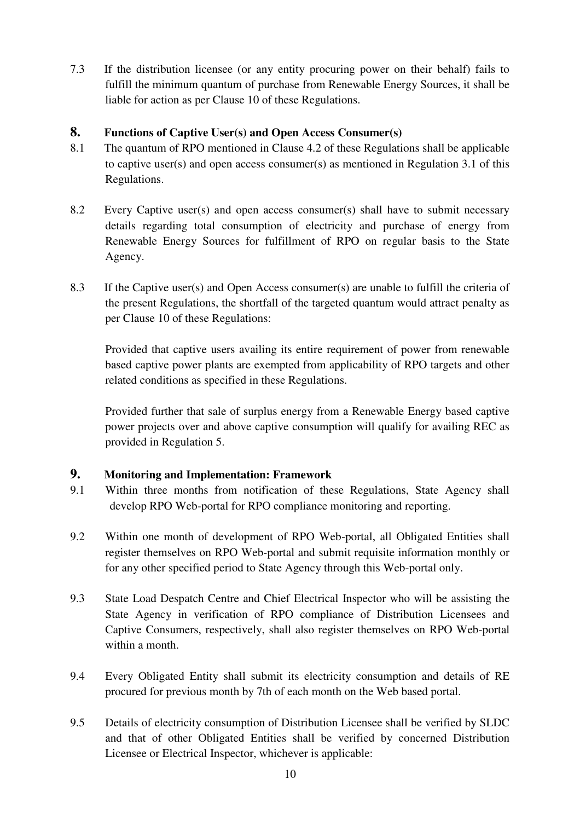7.3 If the distribution licensee (or any entity procuring power on their behalf) fails to fulfill the minimum quantum of purchase from Renewable Energy Sources, it shall be liable for action as per Clause 10 of these Regulations.

#### **8. Functions of Captive User(s) and Open Access Consumer(s)**

- 8.1 The quantum of RPO mentioned in Clause 4.2 of these Regulations shall be applicable to captive user(s) and open access consumer(s) as mentioned in Regulation 3.1 of this Regulations.
- 8.2 Every Captive user(s) and open access consumer(s) shall have to submit necessary details regarding total consumption of electricity and purchase of energy from Renewable Energy Sources for fulfillment of RPO on regular basis to the State Agency.
- 8.3 If the Captive user(s) and Open Access consumer(s) are unable to fulfill the criteria of the present Regulations, the shortfall of the targeted quantum would attract penalty as per Clause 10 of these Regulations:

Provided that captive users availing its entire requirement of power from renewable based captive power plants are exempted from applicability of RPO targets and other related conditions as specified in these Regulations.

Provided further that sale of surplus energy from a Renewable Energy based captive power projects over and above captive consumption will qualify for availing REC as provided in Regulation 5.

#### **9. Monitoring and Implementation: Framework**

- 9.1 Within three months from notification of these Regulations, State Agency shall develop RPO Web-portal for RPO compliance monitoring and reporting.
- 9.2 Within one month of development of RPO Web-portal, all Obligated Entities shall register themselves on RPO Web-portal and submit requisite information monthly or for any other specified period to State Agency through this Web-portal only.
- 9.3 State Load Despatch Centre and Chief Electrical Inspector who will be assisting the State Agency in verification of RPO compliance of Distribution Licensees and Captive Consumers, respectively, shall also register themselves on RPO Web-portal within a month.
- 9.4 Every Obligated Entity shall submit its electricity consumption and details of RE procured for previous month by 7th of each month on the Web based portal.
- 9.5 Details of electricity consumption of Distribution Licensee shall be verified by SLDC and that of other Obligated Entities shall be verified by concerned Distribution Licensee or Electrical Inspector, whichever is applicable: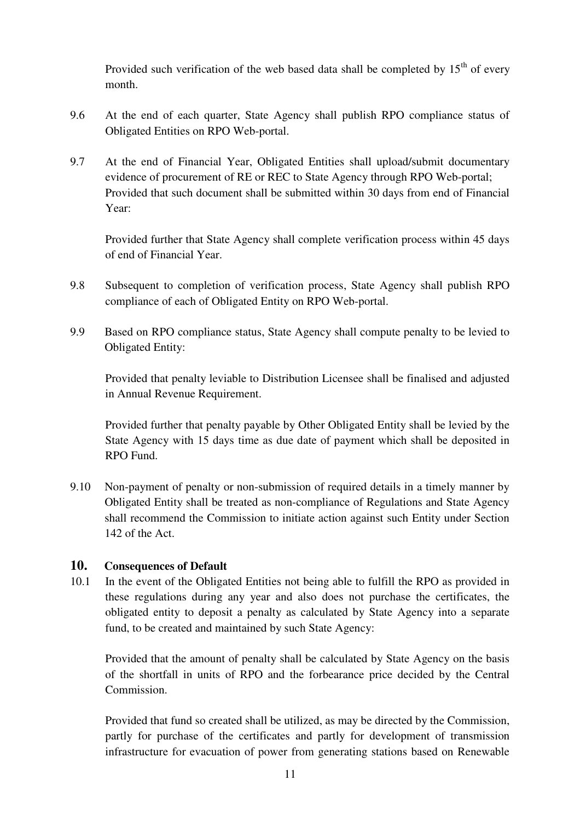Provided such verification of the web based data shall be completed by  $15<sup>th</sup>$  of every month.

- 9.6 At the end of each quarter, State Agency shall publish RPO compliance status of Obligated Entities on RPO Web-portal.
- 9.7 At the end of Financial Year, Obligated Entities shall upload/submit documentary evidence of procurement of RE or REC to State Agency through RPO Web-portal; Provided that such document shall be submitted within 30 days from end of Financial Year:

Provided further that State Agency shall complete verification process within 45 days of end of Financial Year.

- 9.8 Subsequent to completion of verification process, State Agency shall publish RPO compliance of each of Obligated Entity on RPO Web-portal.
- 9.9 Based on RPO compliance status, State Agency shall compute penalty to be levied to Obligated Entity:

Provided that penalty leviable to Distribution Licensee shall be finalised and adjusted in Annual Revenue Requirement.

Provided further that penalty payable by Other Obligated Entity shall be levied by the State Agency with 15 days time as due date of payment which shall be deposited in RPO Fund.

9.10 Non-payment of penalty or non-submission of required details in a timely manner by Obligated Entity shall be treated as non-compliance of Regulations and State Agency shall recommend the Commission to initiate action against such Entity under Section 142 of the Act.

### **10. Consequences of Default**

10.1 In the event of the Obligated Entities not being able to fulfill the RPO as provided in these regulations during any year and also does not purchase the certificates, the obligated entity to deposit a penalty as calculated by State Agency into a separate fund, to be created and maintained by such State Agency:

Provided that the amount of penalty shall be calculated by State Agency on the basis of the shortfall in units of RPO and the forbearance price decided by the Central Commission.

Provided that fund so created shall be utilized, as may be directed by the Commission, partly for purchase of the certificates and partly for development of transmission infrastructure for evacuation of power from generating stations based on Renewable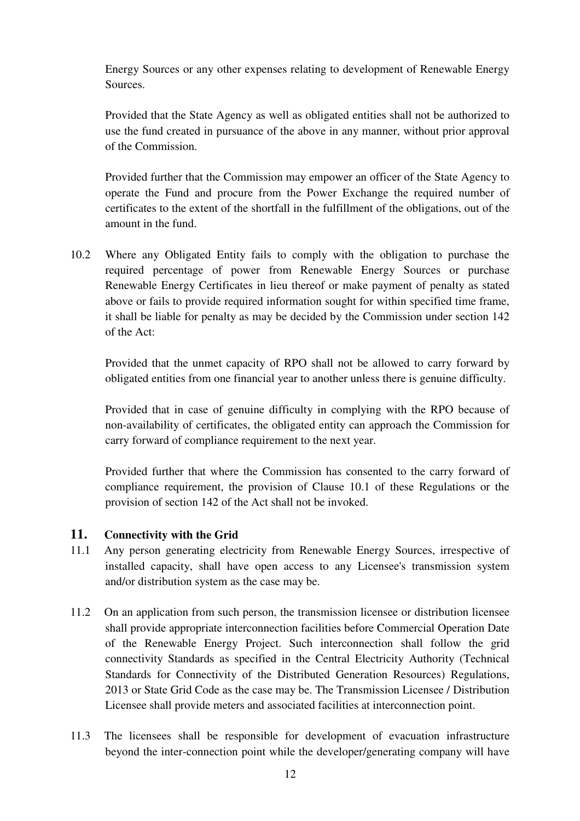Energy Sources or any other expenses relating to development of Renewable Energy Sources.

Provided that the State Agency as well as obligated entities shall not be authorized to use the fund created in pursuance of the above in any manner, without prior approval of the Commission.

Provided further that the Commission may empower an officer of the State Agency to operate the Fund and procure from the Power Exchange the required number of certificates to the extent of the shortfall in the fulfillment of the obligations, out of the amount in the fund.

10.2 Where any Obligated Entity fails to comply with the obligation to purchase the required percentage of power from Renewable Energy Sources or purchase Renewable Energy Certificates in lieu thereof or make payment of penalty as stated above or fails to provide required information sought for within specified time frame, it shall be liable for penalty as may be decided by the Commission under section 142 of the Act:

Provided that the unmet capacity of RPO shall not be allowed to carry forward by obligated entities from one financial year to another unless there is genuine difficulty.

Provided that in case of genuine difficulty in complying with the RPO because of non-availability of certificates, the obligated entity can approach the Commission for carry forward of compliance requirement to the next year.

Provided further that where the Commission has consented to the carry forward of compliance requirement, the provision of Clause 10.1 of these Regulations or the provision of section 142 of the Act shall not be invoked.

#### **11. Connectivity with the Grid**

- 11.1 Any person generating electricity from Renewable Energy Sources, irrespective of installed capacity, shall have open access to any Licensee's transmission system and/or distribution system as the case may be.
- 11.2 On an application from such person, the transmission licensee or distribution licensee shall provide appropriate interconnection facilities before Commercial Operation Date of the Renewable Energy Project. Such interconnection shall follow the grid connectivity Standards as specified in the Central Electricity Authority (Technical Standards for Connectivity of the Distributed Generation Resources) Regulations, 2013 or State Grid Code as the case may be. The Transmission Licensee / Distribution Licensee shall provide meters and associated facilities at interconnection point.
- 11.3 The licensees shall be responsible for development of evacuation infrastructure beyond the inter-connection point while the developer/generating company will have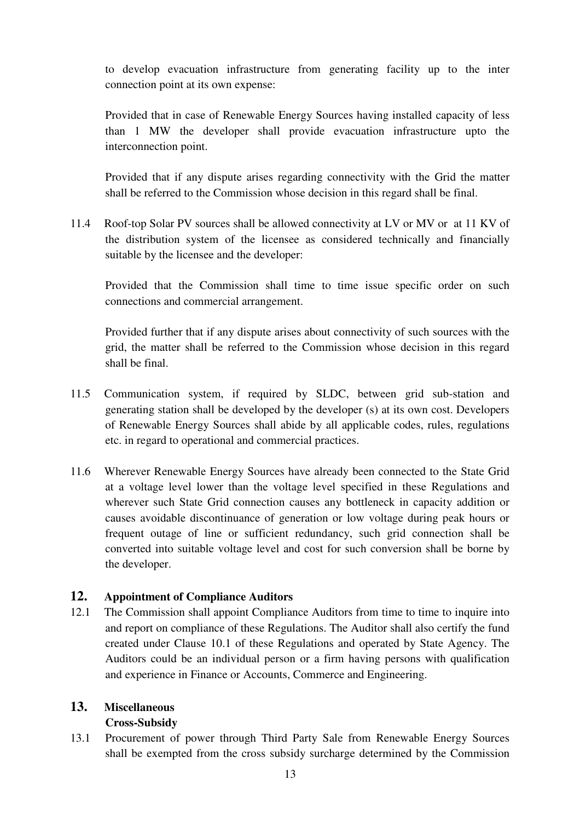to develop evacuation infrastructure from generating facility up to the inter connection point at its own expense:

Provided that in case of Renewable Energy Sources having installed capacity of less than 1 MW the developer shall provide evacuation infrastructure upto the interconnection point.

Provided that if any dispute arises regarding connectivity with the Grid the matter shall be referred to the Commission whose decision in this regard shall be final.

11.4 Roof-top Solar PV sources shall be allowed connectivity at LV or MV or at 11 KV of the distribution system of the licensee as considered technically and financially suitable by the licensee and the developer:

Provided that the Commission shall time to time issue specific order on such connections and commercial arrangement.

Provided further that if any dispute arises about connectivity of such sources with the grid, the matter shall be referred to the Commission whose decision in this regard shall be final.

- 11.5 Communication system, if required by SLDC, between grid sub-station and generating station shall be developed by the developer (s) at its own cost. Developers of Renewable Energy Sources shall abide by all applicable codes, rules, regulations etc. in regard to operational and commercial practices.
- 11.6 Wherever Renewable Energy Sources have already been connected to the State Grid at a voltage level lower than the voltage level specified in these Regulations and wherever such State Grid connection causes any bottleneck in capacity addition or causes avoidable discontinuance of generation or low voltage during peak hours or frequent outage of line or sufficient redundancy, such grid connection shall be converted into suitable voltage level and cost for such conversion shall be borne by the developer.

#### **12. Appointment of Compliance Auditors**

12.1 The Commission shall appoint Compliance Auditors from time to time to inquire into and report on compliance of these Regulations. The Auditor shall also certify the fund created under Clause 10.1 of these Regulations and operated by State Agency. The Auditors could be an individual person or a firm having persons with qualification and experience in Finance or Accounts, Commerce and Engineering.

# **13. Miscellaneous**

#### **Cross-Subsidy**

13.1 Procurement of power through Third Party Sale from Renewable Energy Sources shall be exempted from the cross subsidy surcharge determined by the Commission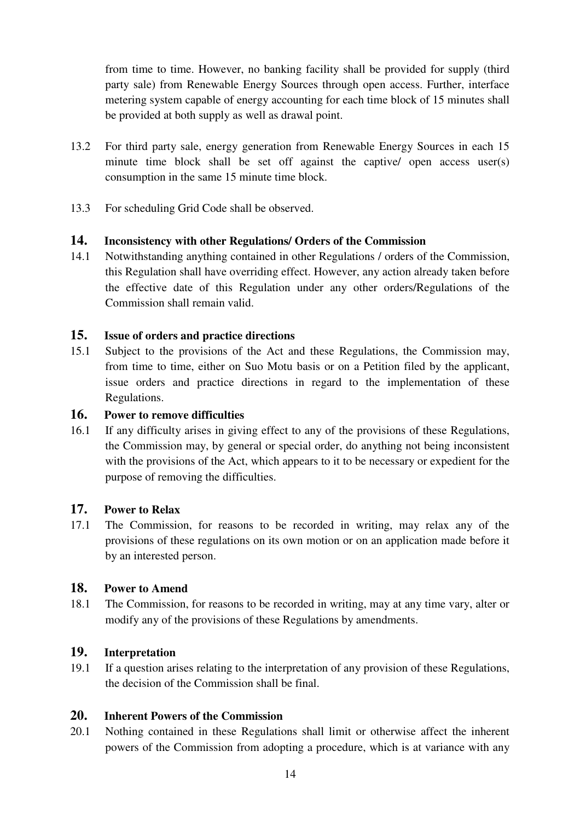from time to time. However, no banking facility shall be provided for supply (third party sale) from Renewable Energy Sources through open access. Further, interface metering system capable of energy accounting for each time block of 15 minutes shall be provided at both supply as well as drawal point.

- 13.2 For third party sale, energy generation from Renewable Energy Sources in each 15 minute time block shall be set off against the captive/ open access user(s) consumption in the same 15 minute time block.
- 13.3 For scheduling Grid Code shall be observed.

#### **14. Inconsistency with other Regulations/ Orders of the Commission**

14.1 Notwithstanding anything contained in other Regulations / orders of the Commission, this Regulation shall have overriding effect. However, any action already taken before the effective date of this Regulation under any other orders/Regulations of the Commission shall remain valid.

### **15. Issue of orders and practice directions**

15.1 Subject to the provisions of the Act and these Regulations, the Commission may, from time to time, either on Suo Motu basis or on a Petition filed by the applicant, issue orders and practice directions in regard to the implementation of these Regulations.

#### **16. Power to remove difficulties**

16.1 If any difficulty arises in giving effect to any of the provisions of these Regulations, the Commission may, by general or special order, do anything not being inconsistent with the provisions of the Act, which appears to it to be necessary or expedient for the purpose of removing the difficulties.

### **17. Power to Relax**

17.1 The Commission, for reasons to be recorded in writing, may relax any of the provisions of these regulations on its own motion or on an application made before it by an interested person.

#### **18. Power to Amend**

18.1 The Commission, for reasons to be recorded in writing, may at any time vary, alter or modify any of the provisions of these Regulations by amendments.

#### **19. Interpretation**

19.1 If a question arises relating to the interpretation of any provision of these Regulations, the decision of the Commission shall be final.

# **20. Inherent Powers of the Commission**

20.1 Nothing contained in these Regulations shall limit or otherwise affect the inherent powers of the Commission from adopting a procedure, which is at variance with any